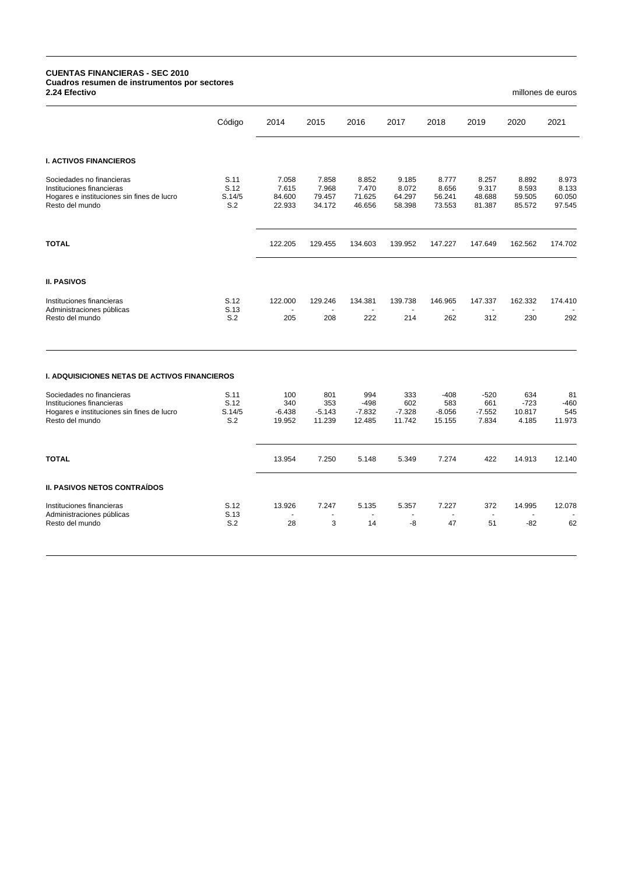## **CUENTAS FINANCIERAS - SEC 2010 Cuadros resumen de instrumentos por sectores**

**2.24 Efectivo** millones de euros

| Código                        | 2014                                                                                   |                                    |                                    |                                    |                                    |                                    |                                    |                                    |
|-------------------------------|----------------------------------------------------------------------------------------|------------------------------------|------------------------------------|------------------------------------|------------------------------------|------------------------------------|------------------------------------|------------------------------------|
|                               |                                                                                        | 2015                               | 2016                               | 2017                               | 2018                               | 2019                               | 2020                               | 2021                               |
|                               |                                                                                        |                                    |                                    |                                    |                                    |                                    |                                    |                                    |
| S.11<br>S.12<br>S.14/5<br>S.2 | 7.058<br>7.615<br>84.600<br>22.933                                                     | 7.858<br>7.968<br>79.457<br>34.172 | 8.852<br>7.470<br>71.625<br>46.656 | 9.185<br>8.072<br>64.297<br>58.398 | 8.777<br>8.656<br>56.241<br>73.553 | 8.257<br>9.317<br>48.688<br>81.387 | 8.892<br>8.593<br>59.505<br>85.572 | 8.973<br>8.133<br>60.050<br>97.545 |
|                               | 122.205                                                                                | 129.455                            | 134.603                            | 139.952                            | 147.227                            | 147.649                            | 162.562                            | 174.702                            |
|                               |                                                                                        |                                    |                                    |                                    |                                    |                                    |                                    |                                    |
| S.12                          | 122.000                                                                                | 129.246                            | 134.381                            | 139.738                            | 146.965                            | 147.337                            | 162.332                            | 174.410                            |
| S.2                           | 205                                                                                    | 208                                | 222                                | 214                                | 262                                | 312                                | 230                                | 292                                |
|                               |                                                                                        |                                    |                                    |                                    |                                    |                                    |                                    |                                    |
| S.11                          | 100                                                                                    | 801                                | 994                                | 333                                | $-408$                             | $-520$                             | 634                                | 81                                 |
|                               |                                                                                        |                                    |                                    |                                    |                                    |                                    |                                    | $-460$<br>545                      |
| S.2                           | 19.952                                                                                 | 11.239                             | 12.485                             | 11.742                             | 15.155                             | 7.834                              | 4.185                              | 11.973                             |
|                               | 13.954                                                                                 | 7.250                              | 5.148                              | 5.349                              | 7.274                              | 422                                | 14.913                             | 12.140                             |
|                               |                                                                                        |                                    |                                    |                                    |                                    |                                    |                                    |                                    |
| S.12                          | 13.926                                                                                 | 7.247                              | 5.135                              | 5.357                              | 7.227                              | 372                                | 14.995                             | 12.078                             |
| S.2                           | 28                                                                                     | 3                                  | 14                                 | -8                                 | 47                                 | 51                                 | $-82$                              | 62                                 |
|                               | S.13<br><b>I. ADQUISICIONES NETAS DE ACTIVOS FINANCIEROS</b><br>S.12<br>S.14/5<br>S.13 | 340<br>$-6.438$                    | 353<br>$-5.143$                    | $-498$<br>$-7.832$                 | 602<br>$-7.328$                    | 583<br>$-8.056$                    | 661<br>$-7.552$                    | $-723$<br>10.817                   |